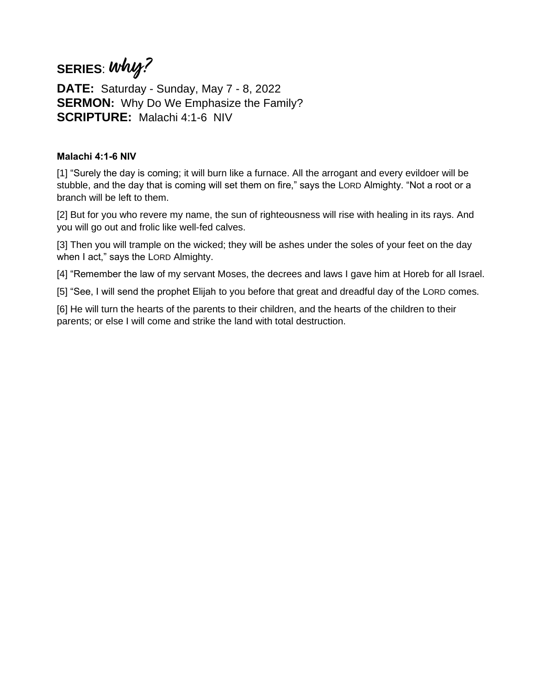# **SERIES**: **why?**

**DATE:** Saturday - Sunday, May 7 - 8, 2022 **SERMON:** Why Do We Emphasize the Family? **SCRIPTURE:** Malachi 4:1-6 NIV

### **Malachi 4:1-6 NIV**

[1] "Surely the day is coming; it will burn like a furnace. All the arrogant and every evildoer will be stubble, and the day that is coming will set them on fire," says the LORD Almighty. "Not a root or a branch will be left to them.

[2] But for you who revere my name, the sun of righteousness will rise with healing in its rays. And you will go out and frolic like well-fed calves.

[3] Then you will trample on the wicked; they will be ashes under the soles of your feet on the day when I act," says the LORD Almighty.

[4] "Remember the law of my servant Moses, the decrees and laws I gave him at Horeb for all Israel.

[5] "See, I will send the prophet Elijah to you before that great and dreadful day of the LORD comes.

[6] He will turn the hearts of the parents to their children, and the hearts of the children to their parents; or else I will come and strike the land with total destruction.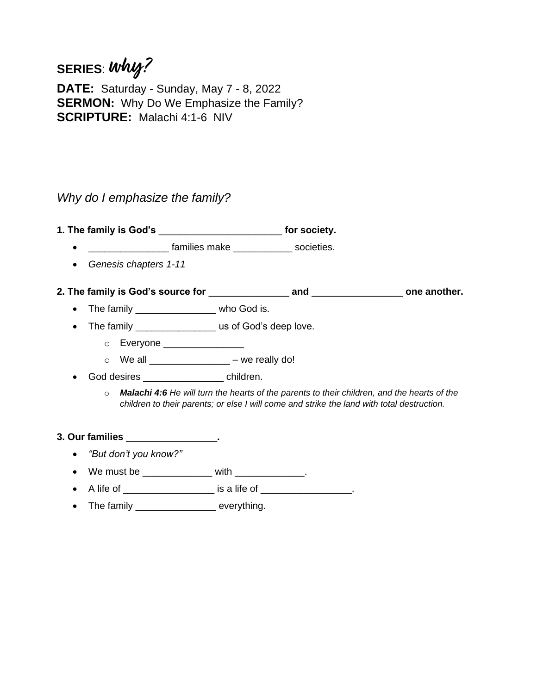# **SERIES**: **why?**

**DATE:** Saturday - Sunday, May 7 - 8, 2022 **SERMON:** Why Do We Emphasize the Family? **SCRIPTURE:** Malachi 4:1-6 NIV

## *Why do I emphasize the family?*

**1. The family is God's** \_\_\_\_\_\_\_\_\_\_\_\_\_\_\_\_\_\_\_\_\_\_\_ **for society.**

- **\_\_\_\_\_\_\_\_** families make \_\_\_\_\_\_\_\_\_\_\_\_ societies.
- *Genesis chapters 1-11*
- **2. The family is God's source for** \_\_\_\_\_\_\_\_\_\_\_\_\_\_\_ **and** \_\_\_\_\_\_\_\_\_\_\_\_\_\_\_\_\_ **one another.**
	- The family \_\_\_\_\_\_\_\_\_\_\_\_\_\_\_\_\_\_ who God is.
	- The family \_\_\_\_\_\_\_\_\_\_\_\_\_\_\_\_\_\_\_us of God's deep love.
		- o Everyone \_\_\_\_\_\_\_\_\_\_\_\_\_\_\_
		- $\circ$  We all \_\_\_\_\_\_\_\_\_\_\_\_\_\_\_\_ we really do!
	- God desires \_\_\_\_\_\_\_\_\_\_\_\_\_\_\_ children.
		- o *Malachi 4:6 He will turn the hearts of the parents to their children, and the hearts of the children to their parents; or else I will come and strike the land with total destruction.*

### **3. Our families** \_\_\_\_\_\_\_\_\_\_\_\_\_\_\_\_\_**.**

- *"But don't you know?"*
- We must be  $\qquad \qquad$  with  $\qquad \qquad$ .
- A life of  $\frac{1}{2}$  is a life of  $\frac{1}{2}$ .
- The family \_\_\_\_\_\_\_\_\_\_\_\_\_\_\_\_\_\_ everything.